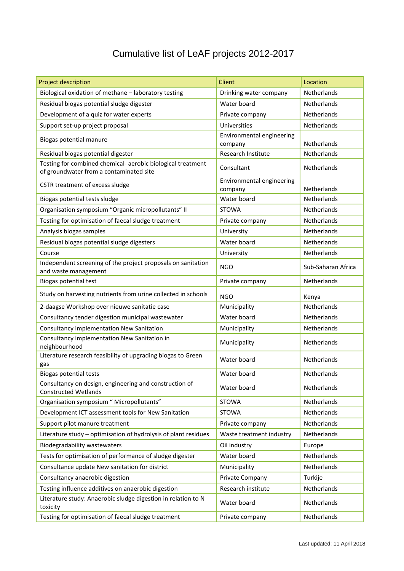## Cumulative list of LeAF projects 2012-2017

| Project description                                                                   | Client                               | Location           |
|---------------------------------------------------------------------------------------|--------------------------------------|--------------------|
| Biological oxidation of methane - laboratory testing                                  | Drinking water company               | Netherlands        |
| Residual biogas potential sludge digester                                             | Water board                          | Netherlands        |
| Development of a quiz for water experts                                               | Private company                      | <b>Netherlands</b> |
| Support set-up project proposal                                                       | Universities                         | Netherlands        |
| Biogas potential manure                                                               | Environmental engineering            | Netherlands        |
| Residual biogas potential digester                                                    | company<br>Research Institute        | Netherlands        |
| Testing for combined chemical-aerobic biological treatment                            |                                      |                    |
| of groundwater from a contaminated site                                               | Consultant                           | Netherlands        |
| CSTR treatment of excess sludge                                                       | Environmental engineering<br>company | Netherlands        |
| Biogas potential tests sludge                                                         | Water board                          | Netherlands        |
| Organisation symposium "Organic micropollutants" II                                   | <b>STOWA</b>                         | <b>Netherlands</b> |
| Testing for optimisation of faecal sludge treatment                                   | Private company                      | Netherlands        |
| Analysis biogas samples                                                               | University                           | Netherlands        |
| Residual biogas potential sludge digesters                                            | Water board                          | <b>Netherlands</b> |
| Course                                                                                | University                           | Netherlands        |
| Independent screening of the project proposals on sanitation<br>and waste management  | <b>NGO</b>                           | Sub-Saharan Africa |
| Biogas potential test                                                                 | Private company                      | Netherlands        |
| Study on harvesting nutrients from urine collected in schools                         | <b>NGO</b>                           | Kenya              |
| 2-daagse Workshop over nieuwe sanitatie case                                          | Municipality                         | Netherlands        |
| Consultancy tender digestion municipal wastewater                                     | Water board                          | Netherlands        |
| Consultancy implementation New Sanitation                                             | Municipality                         | Netherlands        |
| Consultancy implementation New Sanitation in<br>neighbourhood                         | Municipality                         | Netherlands        |
| Literature research feasibility of upgrading biogas to Green<br>gas                   | Water board                          | Netherlands        |
| <b>Biogas potential tests</b>                                                         | Water board                          | Netherlands        |
| Consultancy on design, engineering and construction of<br><b>Constructed Wetlands</b> | Water board                          | Netherlands        |
| Organisation symposium " Micropollutants"                                             | <b>STOWA</b>                         | Netherlands        |
| Development ICT assessment tools for New Sanitation                                   | <b>STOWA</b>                         | Netherlands        |
| Support pilot manure treatment                                                        | Private company                      | Netherlands        |
| Literature study - optimisation of hydrolysis of plant residues                       | Waste treatment industry             | Netherlands        |
| Biodegradability wastewaters                                                          | Oil industry                         | Europe             |
| Tests for optimisation of performance of sludge digester                              | Water board                          | Netherlands        |
| Consultance update New sanitation for district                                        | Municipality                         | Netherlands        |
| Consultancy anaerobic digestion                                                       | Private Company                      | Turkije            |
| Testing influence additives on anaerobic digestion                                    | Research institute                   | Netherlands        |
| Literature study: Anaerobic sludge digestion in relation to N<br>toxicity             | Water board                          | Netherlands        |
| Testing for optimisation of faecal sludge treatment                                   | Private company                      | Netherlands        |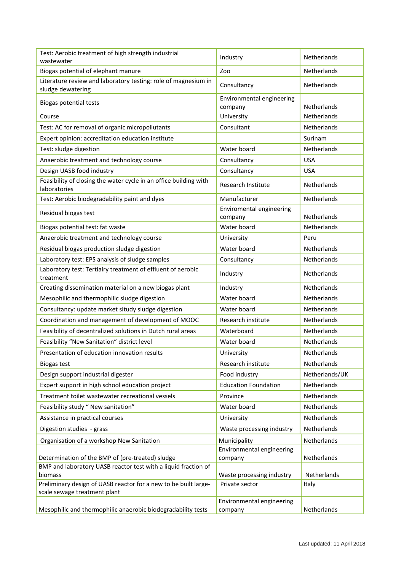| Test: Aerobic treatment of high strength industrial                                 | Industry                             | Netherlands        |
|-------------------------------------------------------------------------------------|--------------------------------------|--------------------|
| wastewater                                                                          |                                      | Netherlands        |
| Biogas potential of elephant manure                                                 | Zoo                                  |                    |
| Literature review and laboratory testing: role of magnesium in<br>sludge dewatering | Consultancy                          | Netherlands        |
| <b>Biogas potential tests</b>                                                       | Environmental engineering<br>company | Netherlands        |
| Course                                                                              | University                           | Netherlands        |
| Test: AC for removal of organic micropollutants                                     | Consultant                           | Netherlands        |
| Expert opinion: accreditation education institute                                   |                                      | Surinam            |
| Test: sludge digestion                                                              | Water board                          | Netherlands        |
| Anaerobic treatment and technology course                                           | Consultancy                          | <b>USA</b>         |
| Design UASB food industry                                                           | Consultancy                          | <b>USA</b>         |
| Feasibility of closing the water cycle in an office building with<br>laboratories   | Research Institute                   | Netherlands        |
| Test: Aerobic biodegradability paint and dyes                                       | Manufacturer                         | Netherlands        |
| Residual biogas test                                                                | Enviromental engineering             |                    |
|                                                                                     | company                              | Netherlands        |
| Biogas potential test: fat waste                                                    | Water board                          | Netherlands        |
| Anaerobic treatment and technology course                                           | University                           | Peru               |
| Residual biogas production sludge digestion                                         | Water board                          | Netherlands        |
| Laboratory test: EPS analysis of sludge samples                                     | Consultancy                          | Netherlands        |
| Laboratory test: Tertiairy treatment of effluent of aerobic<br>treatment            | Industry                             | Netherlands        |
| Creating dissemination material on a new biogas plant                               | Industry                             | Netherlands        |
| Mesophilic and thermophilic sludge digestion                                        | Water board                          | <b>Netherlands</b> |
| Consultancy: update market situdy sludge digestion                                  | Water board                          | Netherlands        |
| Coordination and management of development of MOOC                                  | Research institute                   | Netherlands        |
| Feasibility of decentralized solutions in Dutch rural areas                         | Waterboard                           | Netherlands        |
| Feasibility "New Sanitation" district level                                         | Water board                          | Netherlands        |
| Presentation of education innovation results                                        | University                           | Netherlands        |
| <b>Biogas test</b>                                                                  | Research institute                   | Netherlands        |
| Design support industrial digester                                                  | Food industry                        | Netherlands/UK     |
| Expert support in high school education project                                     | <b>Education Foundation</b>          | Netherlands        |
| Treatment toilet wastewater recreational vessels                                    | Province                             | Netherlands        |
| Feasibility study " New sanitation"                                                 | Water board                          | Netherlands        |
| Assistance in practical courses                                                     | University                           | Netherlands        |
| Digestion studies - grass                                                           | Waste processing industry            | Netherlands        |
| Organisation of a workshop New Sanitation                                           | Municipality                         | Netherlands        |
|                                                                                     | Environmental engineering            |                    |
| Determination of the BMP of (pre-treated) sludge                                    | company                              | Netherlands        |
| BMP and laboratory UASB reactor test with a liquid fraction of<br>biomass           | Waste processing industry            | Netherlands        |
| Preliminary design of UASB reactor for a new to be built large-                     | Private sector                       | Italy              |
| scale sewage treatment plant                                                        | Environmental engineering            |                    |
| Mesophilic and thermophilic anaerobic biodegradability tests                        | company                              | Netherlands        |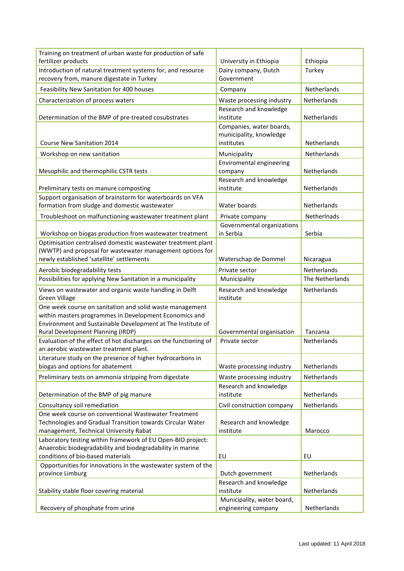| Training on treatment of urban waste for production of safe<br>fertilizer products                                                                                                                                     | University in Ethiopia                                            | Ethiopia           |
|------------------------------------------------------------------------------------------------------------------------------------------------------------------------------------------------------------------------|-------------------------------------------------------------------|--------------------|
| Introduction of natural treatment systems for, and resource                                                                                                                                                            | Dairy company, Dutch                                              | Turkey             |
| recovery from, manure digestate in Turkey                                                                                                                                                                              | Government                                                        |                    |
| Feasibility New Sanitation for 400 houses                                                                                                                                                                              | Company                                                           | Netherlands        |
| Characterization of process waters                                                                                                                                                                                     | Waste processing industry                                         | Netherlands        |
|                                                                                                                                                                                                                        | Research and knowledge                                            |                    |
| Determination of the BMP of pre-treated cosubstrates                                                                                                                                                                   | institute                                                         | Netherlands        |
| Course New Sanitation 2014                                                                                                                                                                                             | Companies, water boards,<br>municipality, knowledge<br>institutes | <b>Netherlands</b> |
| Workshop on new sanitation                                                                                                                                                                                             | Municipality                                                      | Netherlands        |
| Mesophilic and thermophilic CSTR tests                                                                                                                                                                                 | Enviromental engineering<br>company                               | Netherlands        |
| Preliminary tests on manure composting                                                                                                                                                                                 | Research and knowledge<br>institute                               | Netherlands        |
| Support organisation of brainstorm for waterboards on VFA                                                                                                                                                              |                                                                   |                    |
| formation from sludge and domestic wastewater                                                                                                                                                                          | Water boards                                                      | Netherlands        |
| Troubleshoot on malfunctioning wastewater treatment plant                                                                                                                                                              | Private company                                                   | Netherlnads        |
|                                                                                                                                                                                                                        | Governmental organizations                                        |                    |
| Workshop on biogas production from wastewater treatment                                                                                                                                                                | in Serbia                                                         | Serbia             |
| Optimisation centralised domestic wastewater treatment plant                                                                                                                                                           |                                                                   |                    |
| (WWTP) and proposal for wastewater management options for<br>newly established 'satellite' settlements                                                                                                                 | Waterschap de Dommel                                              | Nicaragua          |
| Aerobic biodegradability tests                                                                                                                                                                                         | Private sector                                                    | Netherlands        |
| Possibilities for applying New Sanitation in a municipality                                                                                                                                                            | Municipality                                                      | The Netherlands    |
| Views on wastewater and organic waste handling in Delft<br><b>Green Village</b>                                                                                                                                        | Research and knowledge<br>institute                               | Netherlands        |
| One week course on sanitation and solid waste management<br>within masters programmes in Development Economics and<br>Environment and Sustainable Development at The Institute of<br>Rural Development Planning (IRDP) | Governmental organisation                                         | Tanzania           |
| Evaluation of the effect of hot discharges on the functioning of                                                                                                                                                       | Private sector                                                    | Netherlands        |
| an aerobic wastewater treatment plant.                                                                                                                                                                                 |                                                                   |                    |
| Literature study on the presence of higher hydrocarbons in<br>biogas and options for abatement                                                                                                                         | Waste processing industry                                         | Netherlands        |
| Preliminary tests on ammonia stripping from digestate                                                                                                                                                                  | Waste processing industry                                         | Netherlands        |
| Determination of the BMP of pig manure                                                                                                                                                                                 | Research and knowledge<br>institute                               | Netherlands        |
| Consultancy soil remediation                                                                                                                                                                                           | Civil construction company                                        | Netherlands        |
| One week course on conventional Wastewater Treatment                                                                                                                                                                   |                                                                   |                    |
| Technologies and Gradual Transition towards Circular Water<br>management, Technical University Rabat                                                                                                                   | Research and knowledge<br>institute                               | Marocco            |
| Laboratory testing within framework of EU Open-BIO project:                                                                                                                                                            |                                                                   |                    |
| Anaerobic biodegradability and biodegradability in marine<br>conditions of bio-based materials                                                                                                                         | EU                                                                | EU                 |
| Opportunities for innovations in the wastewater system of the                                                                                                                                                          |                                                                   |                    |
| province Limburg                                                                                                                                                                                                       | Dutch government                                                  | Netherlands        |
| Stability stable floor covering material                                                                                                                                                                               | Research and knowledge<br>institute                               | Netherlands        |
|                                                                                                                                                                                                                        | Municipality, water board,                                        |                    |
| Recovery of phosphate from urine                                                                                                                                                                                       | engineering company                                               | Netherlands        |